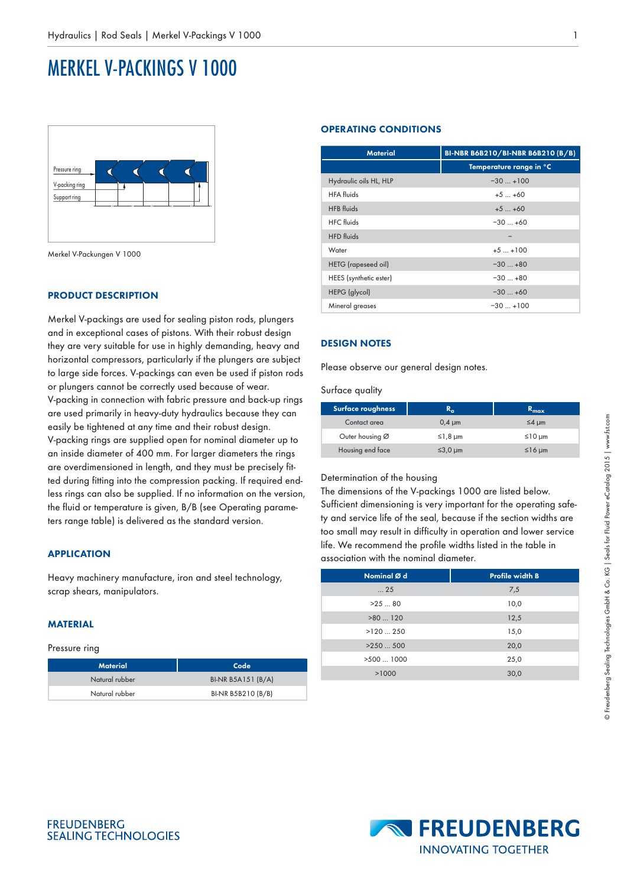# MERKEL V-PACKINGS V 1000



Merkel V-Packungen V 1000

### **PRODUCT DESCRIPTION**

Merkel V-packings are used for sealing piston rods, plungers and in exceptional cases of pistons. With their robust design they are very suitable for use in highly demanding, heavy and horizontal compressors, particularly if the plungers are subject to large side forces. V-packings can even be used if piston rods or plungers cannot be correctly used because of wear. V-packing in connection with fabric pressure and back-up rings are used primarily in heavy-duty hydraulics because they can easily be tightened at any time and their robust design. V-packing rings are supplied open for nominal diameter up to an inside diameter of 400 mm. For larger diameters the rings are overdimensioned in length, and they must be precisely fitted during fitting into the compression packing. If required endless rings can also be supplied. If no information on the version, the fluid or temperature is given, B/B (see Operating parameters range table) is delivered as the standard version.

## **APPLICATION**

Heavy machinery manufacture, iron and steel technology, scrap shears, manipulators.

# **MATERIAL**

#### Pressure ring

| <b>Material</b> | Code               |
|-----------------|--------------------|
| Natural rubber  | BI-NR B5A151 (B/A) |
| Natural rubber  | BI-NR B5B210 (B/B) |

#### **OPERATING CONDITIONS**

| <b>Material</b>            | BI-NBR B6B210/BI-NBR B6B210 (B/B) |  |  |
|----------------------------|-----------------------------------|--|--|
|                            | Temperature range in °C           |  |  |
| Hydraulic oils HL, HLP     | $-30+100$                         |  |  |
| <b>HFA</b> fluids          | $+5+60$                           |  |  |
| <b>HFB</b> fluids          | $+5+60$                           |  |  |
| <b>HFC</b> fluids          | $-30+60$                          |  |  |
| <b>HFD</b> fluids          |                                   |  |  |
| Water                      | $+5$ $+100$                       |  |  |
| <b>HETG</b> (rapeseed oil) | $-30+80$                          |  |  |
| HEES (synthetic ester)     | $-30+80$                          |  |  |
| HEPG (glycol)              | $-30+60$                          |  |  |
| Mineral greases            | $-30+100$                         |  |  |

#### **DESIGN NOTES**

Please observe our general design notes.

Surface quality

| Surface roughness | R.               | $R_{max}$   |
|-------------------|------------------|-------------|
| Contact area      | $0.4 \mu m$      | $\leq$ 4 um |
| Outer housing Ø   | $≤1,8 \mu m$     | ≤10 µm      |
| Housing end face  | $\leq 3.0 \mu m$ | $≤16 \mu m$ |

# Determination of the housing

The dimensions of the V-packings 1000 are listed below. Sufficient dimensioning is very important for the operating safety and service life of the seal, because if the section widths are too small may result in difficulty in operation and lower service life. We recommend the profile widths listed in the table in association with the nominal diameter.

| Nominal Ø d          | <b>Profile width B</b> |
|----------------------|------------------------|
| $\dots 25$           | 7,5                    |
| >2580                | 10,0                   |
| >80120               | 12,5                   |
| $>120$ 250           | 15,0                   |
| >250500              | 20,0                   |
| $>500$ $\ldots$ 1000 | 25,0                   |
| >1000                | 30,0                   |
|                      |                        |



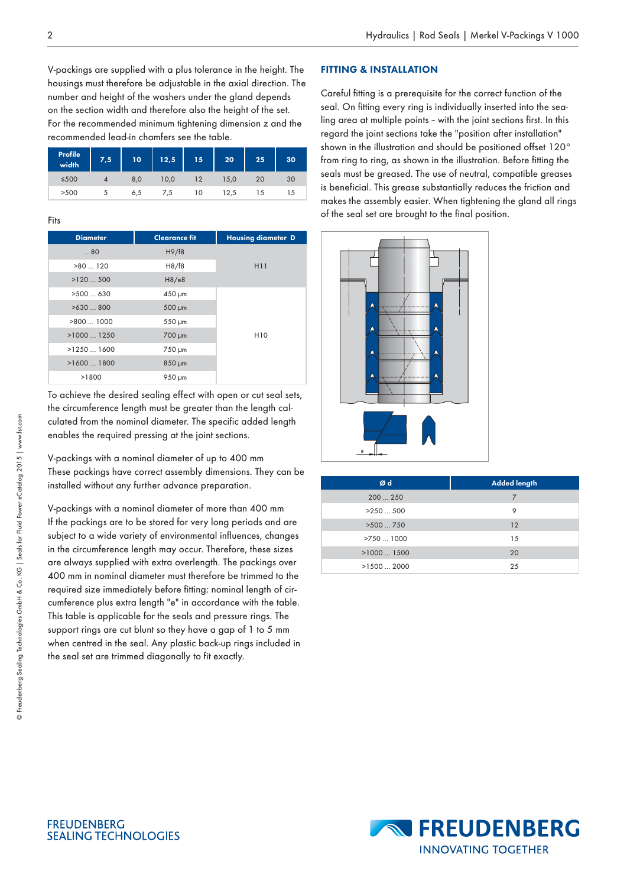V-packings are supplied with a plus tolerance in the height. The housings must therefore be adjustable in the axial direction. The number and height of the washers under the gland depends on the section width and therefore also the height of the set. For the recommended minimum tightening dimension z and the recommended lead-in chamfers see the table.

| Profile<br>width <sup>1</sup> | 7,5 | 10  | 12,5 | $15^{\circ}$ | 20   | 25 | 30 |
|-------------------------------|-----|-----|------|--------------|------|----|----|
| $≤500$                        |     | 8,0 | 10,0 |              | 15,0 | 20 | 30 |
| >500                          | J   | 6,5 | 7,5  | 10           | 12,5 | 15 |    |

#### Fits

| <b>Diameter</b> | <b>Clearance fit</b> | <b>Housing diameter D</b> |
|-----------------|----------------------|---------------------------|
| 80              | H9/F8                |                           |
| >80120          | H8/F8                | H11                       |
| >120500         | H8/e8                |                           |
| >500630         | $450 \mu m$          |                           |
| >630800         | 500 µm               |                           |
| >8001000        | 550 µm               |                           |
| $>1000$ 1250    | 700 µm               | H <sub>10</sub>           |
| $>1250$ 1600    | 750 µm               |                           |
| $>1600$ 1800    | 850 µm               |                           |
| >1800           | 950 µm               |                           |

To achieve the desired sealing effect with open or cut seal sets, the circumference length must be greater than the length calculated from the nominal diameter. The specific added length enables the required pressing at the joint sections.

V-packings with a nominal diameter of up to 400 mm These packings have correct assembly dimensions. They can be installed without any further advance preparation.

V-packings with a nominal diameter of more than 400 mm If the packings are to be stored for very long periods and are subject to a wide variety of environmental influences, changes in the circumference length may occur. Therefore, these sizes are always supplied with extra overlength. The packings over 400 mm in nominal diameter must therefore be trimmed to the required size immediately before fitting: nominal length of circumference plus extra length "e" in accordance with the table. This table is applicable for the seals and pressure rings. The support rings are cut blunt so they have a gap of 1 to 5 mm when centred in the seal. Any plastic back-up rings included in the seal set are trimmed diagonally to fit exactly.

#### **FITTING & INSTALLATION**

Careful fitting is a prerequisite for the correct function of the seal. On fitting every ring is individually inserted into the sealing area at multiple points – with the joint sections first. In this regard the joint sections take the "position after installation" shown in the illustration and should be positioned offset 120° from ring to ring, as shown in the illustration. Before fitting the seals must be greased. The use of neutral, compatible greases is beneficial. This grease substantially reduces the friction and makes the assembly easier. When tightening the gland all rings of the seal set are brought to the final position.



| <b>Added length</b> |
|---------------------|
| 7                   |
| 9                   |
| 12                  |
| 15                  |
| 20                  |
| 25                  |
|                     |